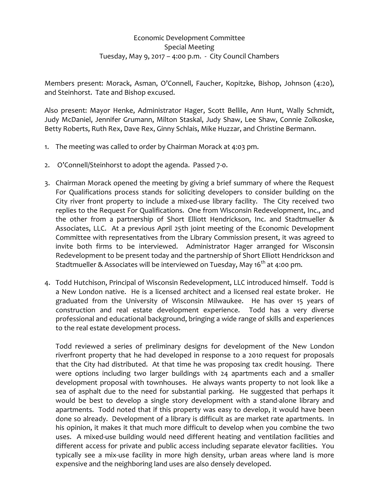## Economic Development Committee Special Meeting Tuesday, May 9, 2017 – 4:00 p.m. ‐ City Council Chambers

Members present: Morack, Asman, O'Connell, Faucher, Kopitzke, Bishop, Johnson (4:20), and Steinhorst. Tate and Bishop excused.

Also present: Mayor Henke, Administrator Hager, Scott Bellile, Ann Hunt, Wally Schmidt, Judy McDaniel, Jennifer Grumann, Milton Staskal, Judy Shaw, Lee Shaw, Connie Zolkoske, Betty Roberts, Ruth Rex, Dave Rex, Ginny Schlais, Mike Huzzar, and Christine Bermann.

- 1. The meeting was called to order by Chairman Morack at 4:03 pm.
- 2. O'Connell/Steinhorst to adopt the agenda. Passed 7‐0.
- 3. Chairman Morack opened the meeting by giving a brief summary of where the Request For Qualifications process stands for soliciting developers to consider building on the City river front property to include a mixed-use library facility. The City received two replies to the Request For Qualifications. One from Wisconsin Redevelopment, Inc., and the other from a partnership of Short Elliott Hendrickson, Inc. and Stadtmueller & Associates, LLC. At a previous April 25th joint meeting of the Economic Development Committee with representatives from the Library Commission present, it was agreed to invite both firms to be interviewed. Administrator Hager arranged for Wisconsin Redevelopment to be present today and the partnership of Short Elliott Hendrickson and Stadtmueller & Associates will be interviewed on Tuesday, May 16<sup>th</sup> at 4:00 pm.
- 4. Todd Hutchison, Principal of Wisconsin Redevelopment, LLC introduced himself. Todd is a New London native. He is a licensed architect and a licensed real estate broker. He graduated from the University of Wisconsin Milwaukee. He has over 15 years of construction and real estate development experience. Todd has a very diverse professional and educational background, bringing a wide range of skills and experiences to the real estate development process.

Todd reviewed a series of preliminary designs for development of the New London riverfront property that he had developed in response to a 2010 request for proposals that the City had distributed. At that time he was proposing tax credit housing. There were options including two larger buildings with 24 apartments each and a smaller development proposal with townhouses. He always wants property to not look like a sea of asphalt due to the need for substantial parking. He suggested that perhaps it would be best to develop a single story development with a stand‐alone library and apartments. Todd noted that if this property was easy to develop, it would have been done so already. Development of a library is difficult as are market rate apartments. In his opinion, it makes it that much more difficult to develop when you combine the two uses. A mixed‐use building would need different heating and ventilation facilities and different access for private and public access including separate elevator facilities. You typically see a mix‐use facility in more high density, urban areas where land is more expensive and the neighboring land uses are also densely developed.